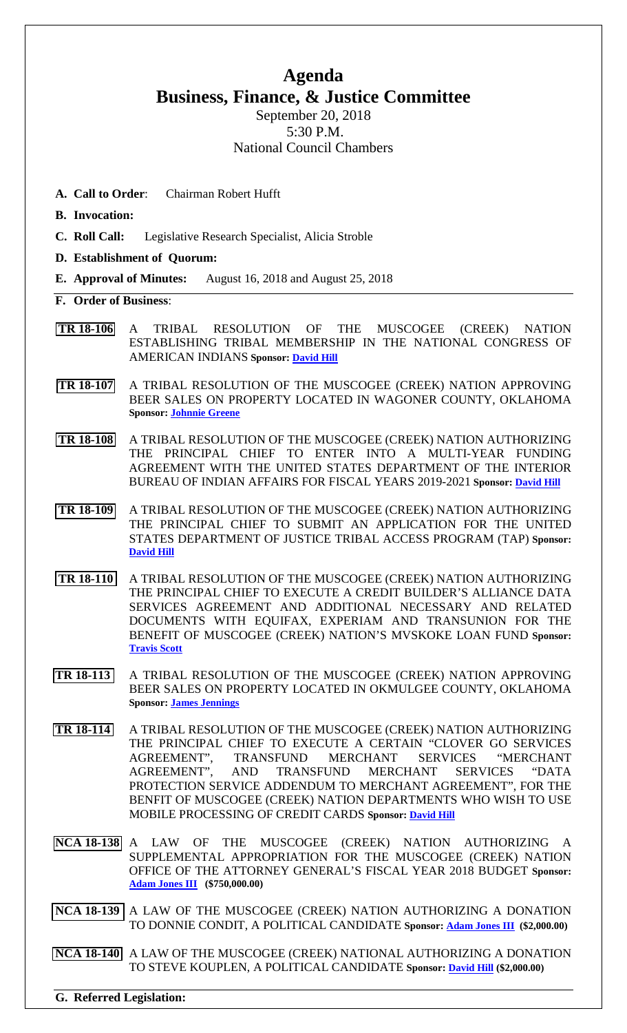## **Agenda Business, Finance, & Justice Committee**

September 20, 2018 5:30 P.M. National Council Chambers

- **A. Call to Order**: Chairman Robert Hufft
- **B. Invocation:**
- **C. Roll Call:** Legislative Research Specialist, Alicia Stroble
- **D. Establishment of Quorum:**
- **E. Approval of Minutes:** August 16, 2018 and August 25, 2018
- **F. Order of Business**:
- **[TR 18-106](bills/18-106.pdf)** A TRIBAL RESOLUTION OF THE MUSCOGEE (CREEK) NATION ESTABLISHING TRIBAL MEMBERSHIP IN THE NATIONAL CONGRESS OF AMERICAN INDIANS **Sponsor[: David Hill](mailto:dhill@mcn-nsn.gov)**
- **[TR 18-107](bills/18-107.pdf)** A TRIBAL RESOLUTION OF THE MUSCOGEE (CREEK) NATION APPROVING BEER SALES ON PROPERTY LOCATED IN WAGONER COUNTY, OKLAHOMA **Sponsor: [Johnnie Greene](mailto:jgreene@mcn-nsn.gov)**
- **[TR 18-108](bills/18-108.pdf)** A TRIBAL RESOLUTION OF THE MUSCOGEE (CREEK) NATION AUTHORIZING THE PRINCIPAL CHIEF TO ENTER INTO A MULTI-YEAR FUNDING AGREEMENT WITH THE UNITED STATES DEPARTMENT OF THE INTERIOR BUREAU OF INDIAN AFFAIRS FOR FISCAL YEARS 2019-2021 **Sponsor: [David Hill](mailto:dhill@mcn-nsn.gov)**
- **[TR 18-109](bills/18-108.pdf)** A TRIBAL RESOLUTION OF THE MUSCOGEE (CREEK) NATION AUTHORIZING THE PRINCIPAL CHIEF TO SUBMIT AN APPLICATION FOR THE UNITED STATES DEPARTMENT OF JUSTICE TRIBAL ACCESS PROGRAM (TAP) **Sponsor: [David Hill](mailto:dhill@mcn-nsn.gov)**
- **[TR 18-110](bills/18-110.pdf)** A TRIBAL RESOLUTION OF THE MUSCOGEE (CREEK) NATION AUTHORIZING THE PRINCIPAL CHIEF TO EXECUTE A CREDIT BUILDER'S ALLIANCE DATA SERVICES AGREEMENT AND ADDITIONAL NECESSARY AND RELATED DOCUMENTS WITH EQUIFAX, EXPERIAM AND TRANSUNION FOR THE BENEFIT OF MUSCOGEE (CREEK) NATION'S MVSKOKE LOAN FUND **Sponsor: [Travis Scott](mailto:tscott@mcn-nsn.gov)**
- **TR [18-113](bills/18-113.pdf)** A TRIBAL RESOLUTION OF THE MUSCOGEE (CREEK) NATION APPROVING BEER SALES ON PROPERTY LOCATED IN OKMULGEE COUNTY, OKLAHOMA **Sponsor: [James Jennings](mailto:jjennings@mcn-nsn.gov)**
- **[TR 18-114](bills/18-114.pdf)** A TRIBAL RESOLUTION OF THE MUSCOGEE (CREEK) NATION AUTHORIZING THE PRINCIPAL CHIEF TO EXECUTE A CERTAIN "CLOVER GO SERVICES AGREEMENT", TRANSFUND MERCHANT SERVICES "MERCHANT AGREEMENT", AND TRANSFUND MERCHANT SERVICES "DATA PROTECTION SERVICE ADDENDUM TO MERCHANT AGREEMENT", FOR THE BENFIT OF MUSCOGEE (CREEK) NATION DEPARTMENTS WHO WISH TO USE MOBILE PROCESSING OF CREDIT CARDS **Sponsor: [David Hill](mailto:dhill@mcn-nsn.gov)**
- **[NCA 18-138](bills/NCA-18-138.pdf)** A LAW OF THE MUSCOGEE (CREEK) NATION AUTHORIZING A SUPPLEMENTAL APPROPRIATION FOR THE MUSCOGEE (CREEK) NATION OFFICE OF THE ATTORNEY GENERAL'S FISCAL YEAR 2018 BUDGET **Sponsor: [Adam Jones III](mailto:ajones@mcn-nsn.gov) (\$750,000.00)**
- **[NCA 18-139](bills/NCA-18-139.pdf)** A LAW OF THE MUSCOGEE (CREEK) NATION AUTHORIZING A DONATION TO DONNIE CONDIT, A POLITICAL CANDIDATE **Sponsor: [Adam Jones III](mailto:ajones@mcn-nsn.gov) (\$2,000.00)**
- **[NCA 18-140](bills/NCA-18-140.pdf)** A LAW OF THE MUSCOGEE (CREEK) NATIONAL AUTHORIZING A DONATION TO STEVE KOUPLEN, A POLITICAL CANDIDATE **Sponsor: [David Hill](mailto:dhill@mcn-nsn.gov) (\$2,000.00)**